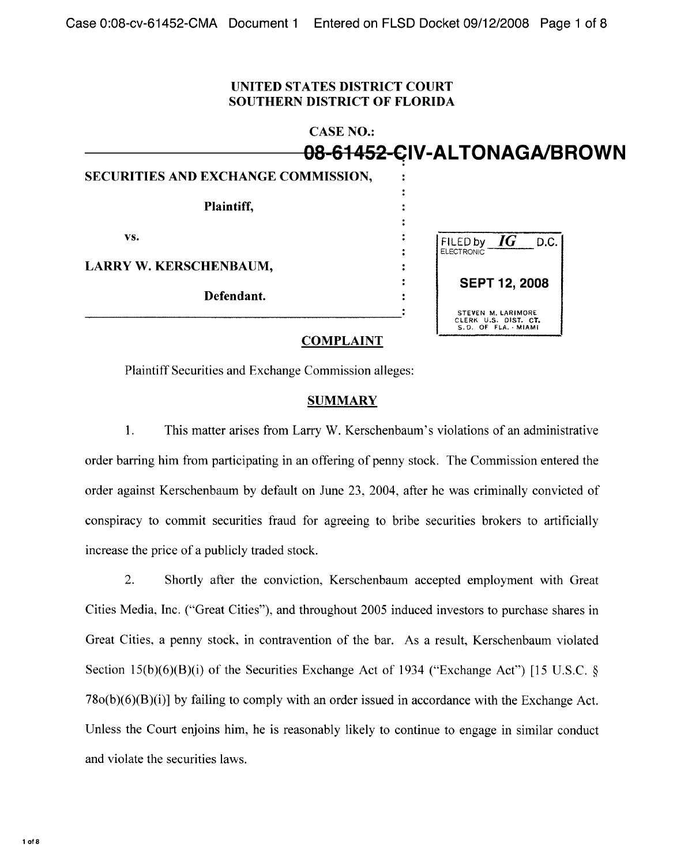## **UNITED STATES DISTRICT COURT SOUTHERN DISTRICT OF FLORIDA**

|                                     | <b>CASE NO.:</b>                                                 |
|-------------------------------------|------------------------------------------------------------------|
|                                     | <del>08-61452-C</del> IV-ALTONAGA/BROWN                          |
| SECURITIES AND EXCHANGE COMMISSION, |                                                                  |
| Plaintiff,                          |                                                                  |
| VS.                                 | FILED by $IG$ D.C.<br><b>ELECTRONIC</b>                          |
| <b>LARRY W. KERSCHENBAUM,</b>       |                                                                  |
| Defendant.                          | <b>SEPT 12, 2008</b>                                             |
|                                     | STEVEN M. LARIMORE<br>CLERK U.S. DIST. CT.<br>S.D. OF FLA. MIAMI |

## **COMPLAINT**

Plaintiff Securities and Exchange Commission alleges:

## **SUMMARY**

1. This matter arises from Larry W. Kerschenbaum's violations of an administrative order barring him from participating in an offering of penny stock. The Commission entered the order against Kerschenbaum by default on June 23, 2004, after he was criminally convicted of conspiracy to commit securities fraud for agreeing to bribe securities brokers to artificially increase the price of a publicly traded stock.

2. Shortly after the conviction, Kerschenbaum accepted employment with Great Cities Media, Inc. ("Great Cities"), and throughout 2005 induced investors to purchase shares in Great Cities, a penny stock, in contravention of the bar. As a result, Kerschenbaum violated Section 15(b)(6)(B)(i) of the Securities Exchange Act of 1934 ("Exchange Act") [15 U.S.C.  $\S$  $78o(b)(6)(B)(i)$  by failing to comply with an order issued in accordance with the Exchange Act. Unless the Court enjoins him, he is reasonably likely to continue to engage in similar conduct and violate the securities laws.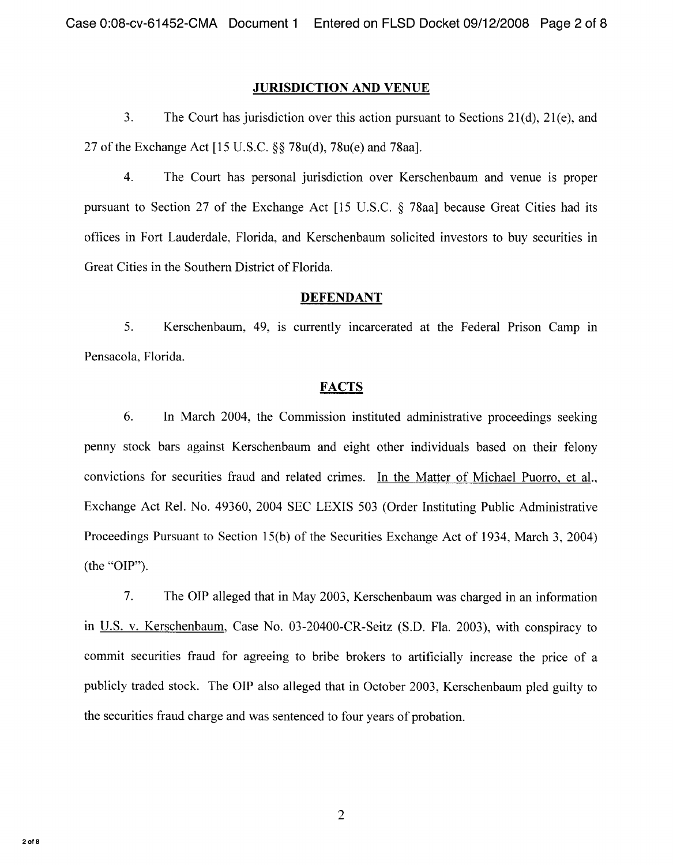#### **JURISDICTION AND VENUE**

3. The Court has jurisdiction over this action pursuant to Sections  $21(d)$ ,  $21(e)$ , and 27 of the Exchange Act [15 U.S.C. \$\$ 78u(d), 78u(e) and 78aa].

 $\overline{4}$ . The Court has personal jurisdiction over Kerschenbaum and venue is proper pursuant to Section 27 of the Exchange Act  $[15 \text{ U.S.C. } \S$  78aa] because Great Cities had its offices in Fort Lauderdale, Florida, and Kerschenbaum solicited investors to buy securities in Great Cities in the Southern District of Florida.

#### **DEFENDANT**

 $5<sub>1</sub>$ Kerschenbaum, 49, is currently incarcerated at the Federal Prison Camp in Pensacola, Florida.

## **FACTS**

6. In March 2004, the Commission instituted administrative proceedings seeking penny stock bars against Kerschenbaum and eight other individuals based on their felony convictions for securities fraud and related crimes. In the Matter of Michael Puorro et al., Exchange Act Rel. No. 49360, 2004 SEC LEXIS 503 (Order Instituting Public Administrative Proceedings Pursuant to Section 15(b) of the Securities Exchange Act of 1934, March 3, 2004) (the "OIP").

7. The OIP alleged that in May 2003, Kerschenbaum was charged in an information in U.S. v. Kerschenbaum, Case No. 03-20400-CR-Seitz (S.D. Fla. 2003), with conspiracy to commit securities fraud for agreeing to bribe brokers to artificially increase the price of a publicly traded stock. The OIP also alleged that in October 2003, Kerschenbaum pled guilty to the securities fraud charge and was sentenced to four years of probation.

 $\overline{2}$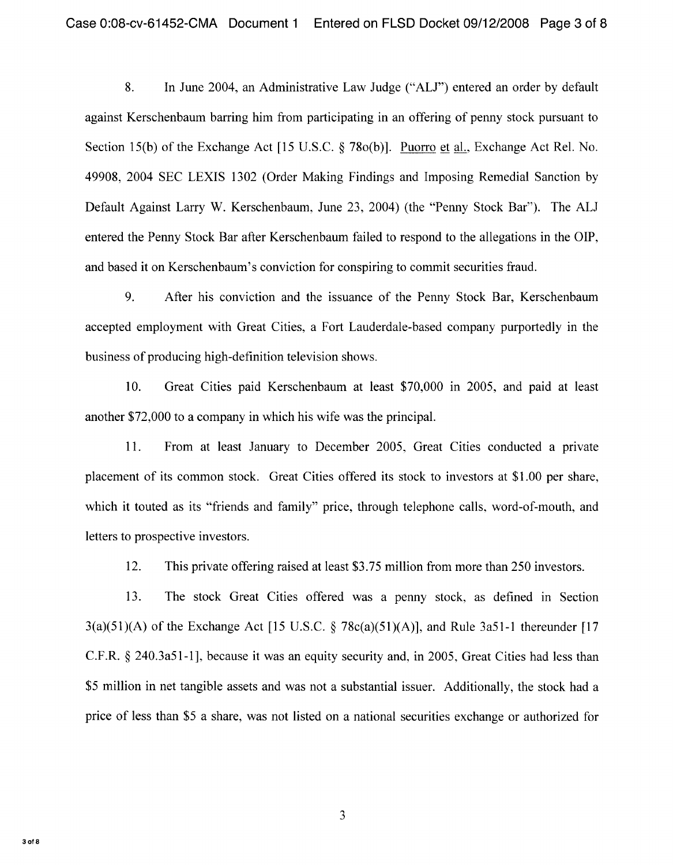8. In June 2004, an Administrative Law Judge ("ALJ") entered an order by default against Kerschenbaum barring him from participating in an offering of penny stock pursuant to Section 15(b) of the Exchange Act [15 U.S.C. \$ 78o(b)]. Puorro et al., Exchange Act Rel. No. 49908, 2004 SEC LEXIS 1302 (Order Making Findings and Imposing Remedial Sanction by Default Against Larry W. Kerschenbaum, June 23, 2004) (the "Penny Stock Bar"). The ALJ entered the Penny Stock Bar after Kerschenbaum failed to respond to the allegations in the OIP, and based it on Kerschenbaum's conviction for conspiring to commit securities fraud.

9. After his conviction and the issuance of the Penny Stock Bar, Kerschenbaum accepted employment with Great Cities, a Fort Lauderdale-based company purportedly in the business of producing high-definition television shows.

10. Great Cities paid Kerschenbaum at least \$70,000 in 2005, and paid at least another \$72,000 to a company in which his wife was the principal.

11. From at least January to December 2005, Great Cities conducted a private placement of its common stock. Great Cities offered its stock to investors at \$1.00 per share, which it touted as its "friends and family" price, through telephone calls, word-of-mouth, and letters to prospective investors.

12. This private offering raised at least \$3.75 million from more than 250 investors.

13. The stock Great Cities offered was a penny stock, as defined in Section  $3(a)(51)(A)$  of the Exchange Act [15 U.S.C. § 78c(a)(51)(A)], and Rule 3a51-1 thereunder [17 C.F.R. § 240.3a51-1], because it was an equity security and, in 2005, Great Cities had less than \$5 million in net tangible assets and was not a substantial issuer. Additionally, the stock had a price of less than \$5 a share, was not listed on a national securities exchange or authorized for

 $3$  of  $8$ 

3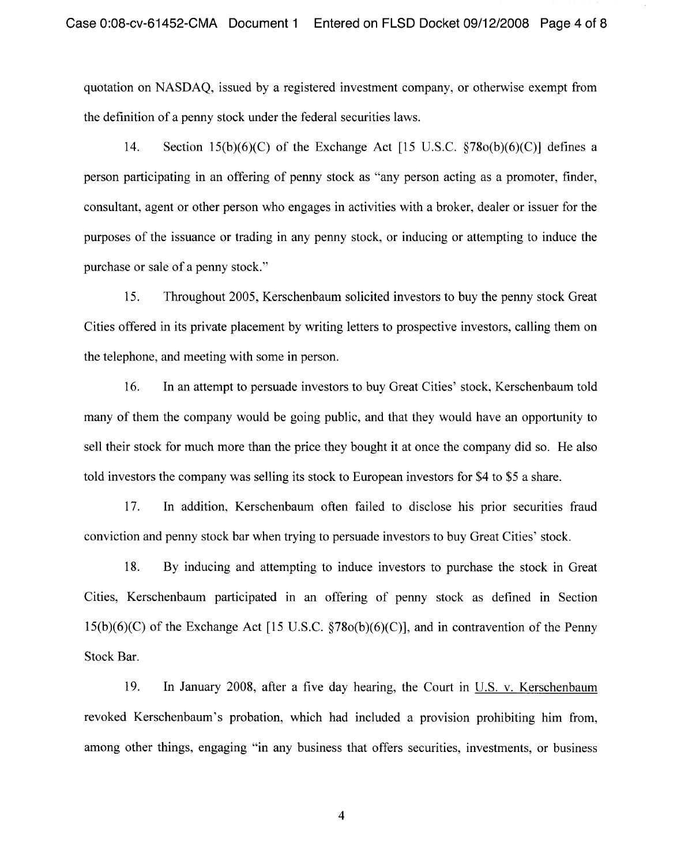quotation on NASDAQ, issued by a registered investment company, or otherwise exempt from the definition of a penny stock under the federal securities laws.

14. Section 15(b)(6)(C) of the Exchange Act [15 U.S.C.  $$78o(b)(6)(C)]$  defines a person participating in an offering of penny stock as "any person acting as a promoter, finder, consultant, agent or other person who engages in activities with a broker, dealer or issuer for the purposes of the issuance or trading in any penny stock, or inducing or attempting to induce the purchase or sale of a penny stock."

15. Throughout 2005, Kerschenbaum solicited investors to buy the penny stock Great Cities offered in its private placement by writing letters to prospective investors, calling them on the telephone, and meeting with some in person.

16. In an attempt to persuade investors to buy Great Cities' stock, Kerschenbaum told many of them the company would be going public, and that they would have an opportunity to sell their stock for much more than the price they bought it at once the company did so. He also told investors the company was selling its stock to European investors for \$4 to \$5 a share.

17. In addition, Kerschenbaum often failed to disclose his prior securities fraud conviction and penny stock bar when trying to persuade investors to buy Great Cities' stock.

18. By inducing and attempting to induce investors to purchase the stock in Great Cities, Kerschenbaum participated in an offering of penny stock as defined in Section  $15(b)(6)(C)$  of the Exchange Act [15 U.S.C.  $$78o(b)(6)(C)$ ], and in contravention of the Penny Stock Bar.

19. In January 2008, after a five day hearing, the Court in U.S. v. Kerschenbaum revoked Kerschenbaum's probation, which had included a provision prohibiting him from, among other things, engaging "in any business that offers securities, investments, or business

 $\overline{4}$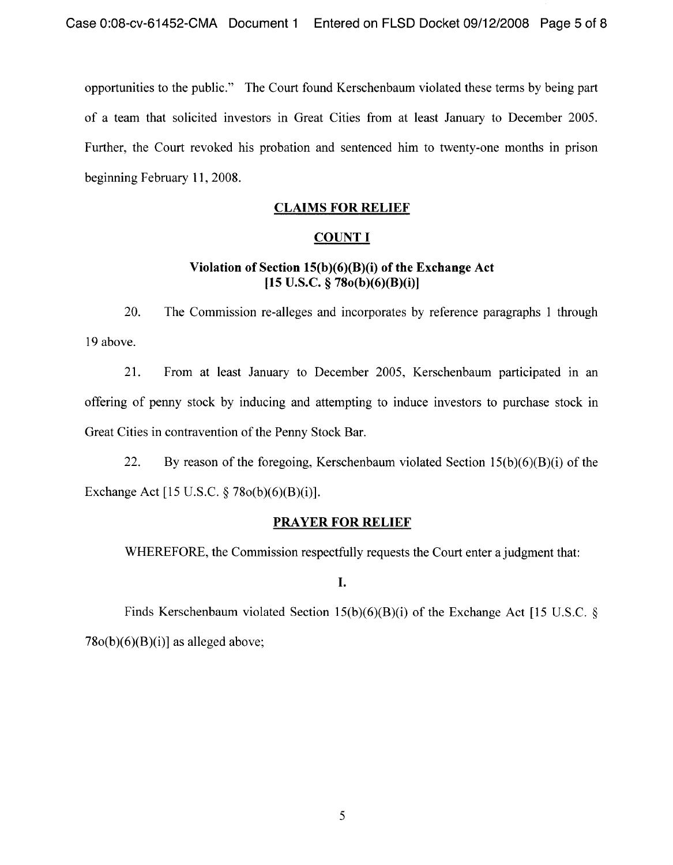opportunities to the public." The Court found Kerschenbaum violated these terms by being part of a team that solicited investors in Great Cities from at least January to December 2005. Further, the Court revoked his probation and sentenced him to twenty-one months in prison beginning February 11, 2008.

## **CLAIMS FOR RELIEF**

### **COUNT I**

# Violation of Section 15(b)(6)(B)(i) of the **Exchange Act [15 U.S.C.** g 7So(b)(6)(B)(i) j

20. The Commission re-alleges and incorporates by reference paragraphs 1 through 19 above.

21. From at least January to December 2005, Kerschenbaum participated in an offering of penny stock by inducing and attempting to induce investors to purchase stock in Great Cities in contravention of the Penny Stock Bar.

22. By reason of the foregoing, Kerschenbaum violated Section  $15(b)(6)(B)(i)$  of the Exchange Act [15 U.S.C. § 78o(b)(6)(B)(i)].

## **PRAYER FOR RELIEF**

WHEREFORE, the Commission respectfully requests the Court enter a judgment that:

I.

Finds Kerschenbaum violated Section  $15(b)(6)(B)(i)$  of the Exchange Act [15 U.S.C. §  $78o(b)(6)(B)(i)$ ] as alleged above;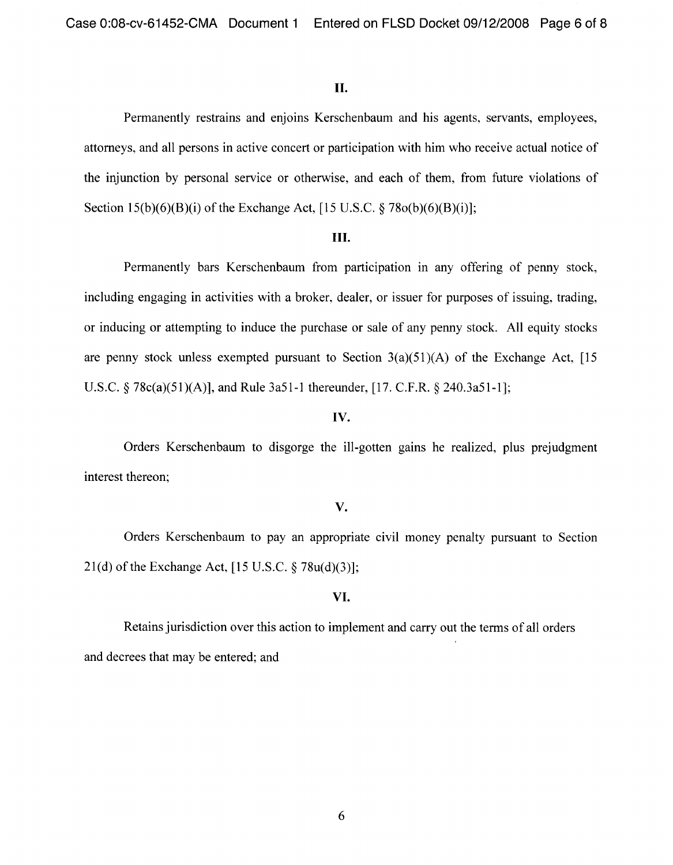### II.

Permanently restrains and enjoins Kerschenbaum and his agents, servants, employees, attorneys, and all persons in active concert or participation with him who receive actual notice of the injunction by personal service or otherwise, and each of them, from future violations of Section  $15(b)(6)(B)(i)$  of the Exchange Act,  $[15 \text{ U.S.C.} \$ 78o(b)(6)(B)(i)];$ 

#### III.

Permanently bars Kerschenbaum from participation in any offering of penny stock, including engaging in activities with a broker, dealer, or issuer for purposes of issuing, trading, or inducing or attempting to induce the purchase or sale of any penny stock. All equity stocks are penny stock unless exempted pursuant to Section  $3(a)(51)(A)$  of the Exchange Act, [15] U.S.C.  $\frac{5}{9}$  78c(a)(51)(A)], and Rule 3a51-1 thereunder, [17. C.F.R.  $\frac{5}{9}$  240.3a51-1];

## **IV.**

Orders Kerschenbaum to disgorge the ill-gotten gains he realized, plus prejudgment interest thereon;

## **V.**

Orders Kerschenbaum to pay an appropriate civil money penalty pursuant to Section 21(d) of the Exchange Act, [15 U.S.C. \$ 78u(d)(3)];

## **VI.**

Retains jurisdiction over this action to implement and carry out the terms of all orders and decrees that may be entered; and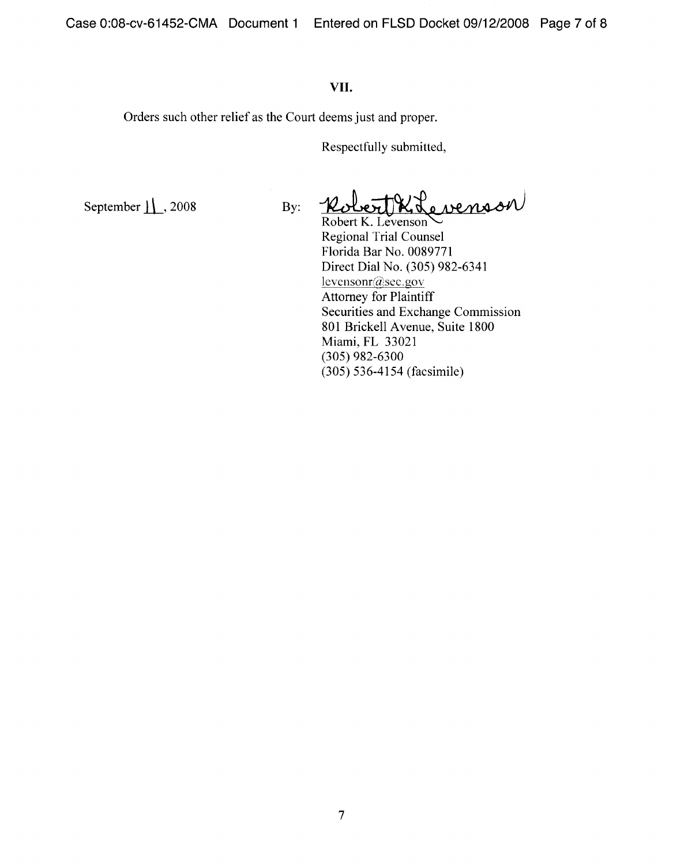## VII.

Orders such other relief as the Court deems just and proper.

Respectfully submitted,

September  $\lfloor \cdot \rfloor$ , 2008 By:

KLevenson

Robert K. Levenson Regional Trial Counsel Florida Bar No. 0089771 Direct Dial No. (305) 982-6341 levensonr@sec.gov Attorney for Plaintiff Securities and Exchange Commission 801 Brickell Avenue, Suite 1800 Miami, FL 33021 (305) 982-6300 (305) 536-4154 (facsimile)